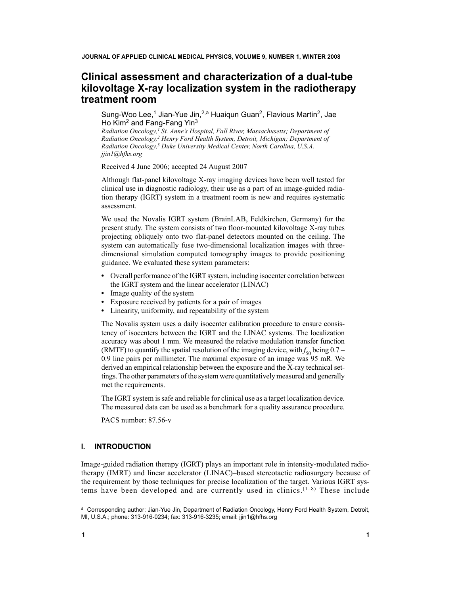**JOURNAL OF APPLIED CLINICAL MEDICAL PHYSICS, VOLUME 9, NUMBER 1, WINTER 2008**

# **Clinical assessment and characterization of a dual-tube kilovoltage X-ray localization system in the radiotherapy treatment room**

Sung-Woo Lee,<sup>1</sup> Jian-Yue Jin,<sup>2,a</sup> Huaiqun Guan<sup>2</sup>, Flavious Martin<sup>2</sup>, Jae Ho Kim<sup>2</sup> and Fang-Fang Yin<sup>3</sup>

*Radiation Oncology,1 St. Anne's Hospital, Fall River, Massachusetts; Department of Radiation Oncology,2 Henry Ford Health System, Detroit, Michigan; Department of Radiation Oncology,3 Duke University Medical Center, North Carolina, U.S.A. jjin1@hfhs.org*

Received 4 June 2006; accepted 24 August 2007

Although flat-panel kilovoltage X-ray imaging devices have been well tested for clinical use in diagnostic radiology, their use as a part of an image-guided radiation therapy (IGRT) system in a treatment room is new and requires systematic assessment.

We used the Novalis IGRT system (BrainLAB, Feldkirchen, Germany) for the present study. The system consists of two floor-mounted kilovoltage X-ray tubes projecting obliquely onto two flat-panel detectors mounted on the ceiling. The system can automatically fuse two-dimensional localization images with threedimensional simulation computed tomography images to provide positioning guidance. We evaluated these system parameters:

- Overall performance of the IGRT system, including isocenter correlation between the IGRT system and the linear accelerator (LINAC)
- Image quality of the system
- Exposure received by patients for a pair of images
- Linearity, uniformity, and repeatability of the system

The Novalis system uses a daily isocenter calibration procedure to ensure consistency of isocenters between the IGRT and the LINAC systems. The localization accuracy was about 1 mm. We measured the relative modulation transfer function (RMTF) to quantify the spatial resolution of the imaging device, with  $f_{50}$  being 0.7 – 0.9 line pairs per millimeter. The maximal exposure of an image was 95 mR. We derived an empirical relationship between the exposure and the X-ray technical settings. The other parameters of the system were quantitatively measured and generally met the requirements.

The IGRT system is safe and reliable for clinical use as a target localization device. The measured data can be used as a benchmark for a quality assurance procedure.

PACS number: 87.56-v

# **I. INTRODUCTION**

Image-guided radiation therapy (IGRT) plays an important role in intensity-modulated radiotherapy (IMRT) and linear accelerator (LINAC)–based stereotactic radiosurgery because of the requirement by those techniques for precise localization of the target. Various IGRT systems have been developed and are currently used in clinics.<sup> $(1-8)$ </sup> These include

a Corresponding author: Jian-Yue Jin, Department of Radiation Oncology, Henry Ford Health System, Detroit, MI, U.S.A.; phone: 313-916-0234; fax: 313-916-3235; email: jjin1@hfhs.org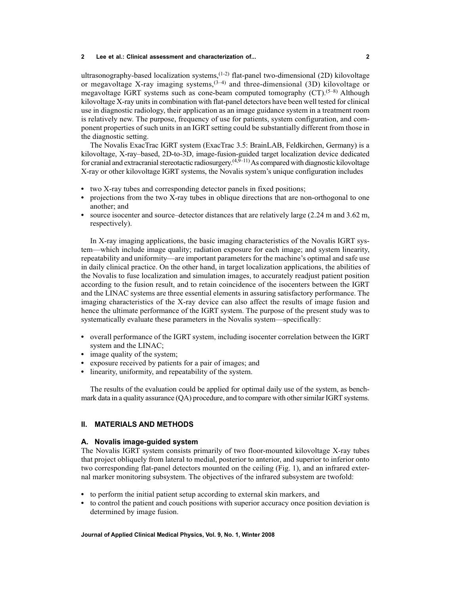ultrasonography-based localization systems,  $(1-2)$  flat-panel two-dimensional (2D) kilovoltage or megavoltage X-ray imaging systems,  $(3-4)$  and three-dimensional (3D) kilovoltage or megavoltage IGRT systems such as cone-beam computed tomography  $(CT)$ .<sup> $(5-8)$ </sup> Although kilovoltage X-ray units in combination with flat-panel detectors have been well tested for clinical use in diagnostic radiology, their application as an image guidance system in a treatment room is relatively new. The purpose, frequency of use for patients, system configuration, and component properties of such units in an IGRT setting could be substantially different from those in the diagnostic setting.

The Novalis ExacTrac IGRT system (ExacTrac 3.5: BrainLAB, Feldkirchen, Germany) is a kilovoltage, X-ray–based, 2D-to-3D, image-fusion-guided target localization device dedicated for cranial and extracranial stereotactic radiosurgery.<sup> $(4,9–11)$ </sup> As compared with diagnostic kilovoltage X-ray or other kilovoltage IGRT systems, the Novalis system's unique configuration includes

- two X-ray tubes and corresponding detector panels in fixed positions;
- projections from the two X-ray tubes in oblique directions that are non-orthogonal to one another; and
- source isocenter and source–detector distances that are relatively large (2.24 m and 3.62 m, respectively).

In X-ray imaging applications, the basic imaging characteristics of the Novalis IGRT system—which include image quality; radiation exposure for each image; and system linearity, repeatability and uniformity—are important parameters for the machine's optimal and safe use in daily clinical practice. On the other hand, in target localization applications, the abilities of the Novalis to fuse localization and simulation images, to accurately readjust patient position according to the fusion result, and to retain coincidence of the isocenters between the IGRT and the LINAC systems are three essential elements in assuring satisfactory performance. The imaging characteristics of the X-ray device can also affect the results of image fusion and hence the ultimate performance of the IGRT system. The purpose of the present study was to systematically evaluate these parameters in the Novalis system—specifically:

- overall performance of the IGRT system, including isocenter correlation between the IGRT system and the LINAC;
- image quality of the system;
- exposure received by patients for a pair of images; and
- linearity, uniformity, and repeatability of the system.

The results of the evaluation could be applied for optimal daily use of the system, as benchmark data in a quality assurance (QA) procedure, and to compare with other similar IGRT systems.

## **II. MATERIALS AND METHODS**

### **A. Novalis image-guided system**

The Novalis IGRT system consists primarily of two floor-mounted kilovoltage X-ray tubes that project obliquely from lateral to medial, posterior to anterior, and superior to inferior onto two corresponding flat-panel detectors mounted on the ceiling (Fig. 1), and an infrared external marker monitoring subsystem. The objectives of the infrared subsystem are twofold:

- to perform the initial patient setup according to external skin markers, and
- to control the patient and couch positions with superior accuracy once position deviation is determined by image fusion.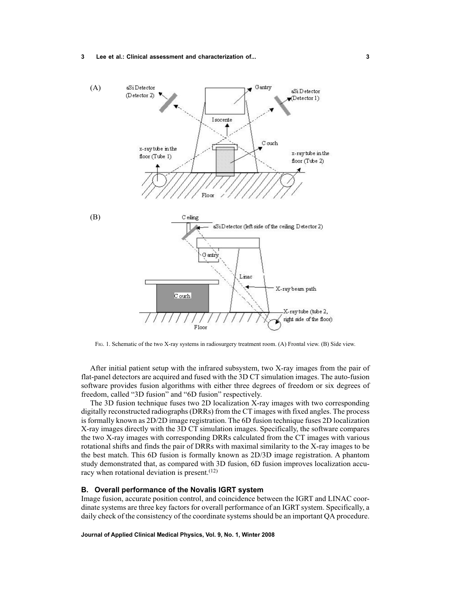

FIG. 1. Schematic of the two X-ray systems in radiosurgery treatment room. (A) Frontal view. (B) Side view.

After initial patient setup with the infrared subsystem, two X-ray images from the pair of flat-panel detectors are acquired and fused with the 3D CT simulation images. The auto-fusion software provides fusion algorithms with either three degrees of freedom or six degrees of freedom, called "3D fusion" and "6D fusion" respectively.

The 3D fusion technique fuses two 2D localization X-ray images with two corresponding digitally reconstructed radiographs (DRRs) from the CT images with fixed angles. The process is formally known as 2D/2D image registration. The 6D fusion technique fuses 2D localization X-ray images directly with the 3D CT simulation images. Specifically, the software compares the two X-ray images with corresponding DRRs calculated from the CT images with various rotational shifts and finds the pair of DRRs with maximal similarity to the X-ray images to be the best match. This 6D fusion is formally known as 2D/3D image registration. A phantom study demonstrated that, as compared with 3D fusion, 6D fusion improves localization accuracy when rotational deviation is present. $(12)$ 

### **B. Overall performance of the Novalis IGRT system**

Image fusion, accurate position control, and coincidence between the IGRT and LINAC coordinate systems are three key factors for overall performance of an IGRT system. Specifically, a daily check of the consistency of the coordinate systems should be an important QA procedure.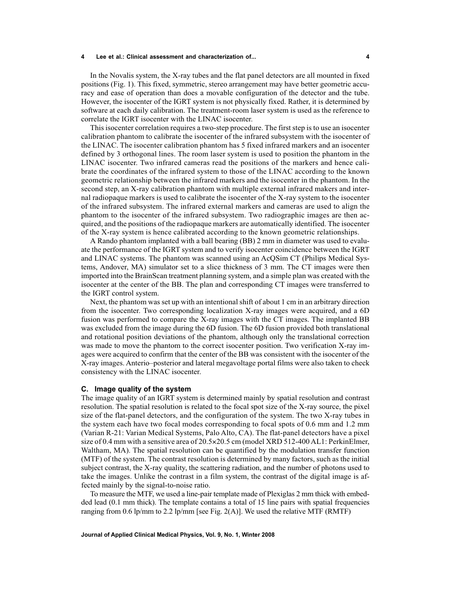In the Novalis system, the X-ray tubes and the flat panel detectors are all mounted in fixed positions (Fig. 1). This fixed, symmetric, stereo arrangement may have better geometric accuracy and ease of operation than does a movable configuration of the detector and the tube. However, the isocenter of the IGRT system is not physically fixed. Rather, it is determined by software at each daily calibration. The treatment-room laser system is used as the reference to correlate the IGRT isocenter with the LINAC isocenter.

This isocenter correlation requires a two-step procedure. The first step is to use an isocenter calibration phantom to calibrate the isocenter of the infrared subsystem with the isocenter of the LINAC. The isocenter calibration phantom has 5 fixed infrared markers and an isocenter defined by 3 orthogonal lines. The room laser system is used to position the phantom in the LINAC isocenter. Two infrared cameras read the positions of the markers and hence calibrate the coordinates of the infrared system to those of the LINAC according to the known geometric relationship between the infrared markers and the isocenter in the phantom. In the second step, an X-ray calibration phantom with multiple external infrared makers and internal radiopaque markers is used to calibrate the isocenter of the X-ray system to the isocenter of the infrared subsystem. The infrared external markers and cameras are used to align the phantom to the isocenter of the infrared subsystem. Two radiographic images are then acquired, and the positions of the radiopaque markers are automatically identified. The isocenter of the X-ray system is hence calibrated according to the known geometric relationships.

A Rando phantom implanted with a ball bearing (BB) 2 mm in diameter was used to evaluate the performance of the IGRT system and to verify isocenter coincidence between the IGRT and LINAC systems. The phantom was scanned using an AcQSim CT (Philips Medical Systems, Andover, MA) simulator set to a slice thickness of 3 mm. The CT images were then imported into the BrainScan treatment planning system, and a simple plan was created with the isocenter at the center of the BB. The plan and corresponding CT images were transferred to the IGRT control system.

Next, the phantom was set up with an intentional shift of about 1 cm in an arbitrary direction from the isocenter. Two corresponding localization X-ray images were acquired, and a 6D fusion was performed to compare the X-ray images with the CT images. The implanted BB was excluded from the image during the 6D fusion. The 6D fusion provided both translational and rotational position deviations of the phantom, although only the translational correction was made to move the phantom to the correct isocenter position. Two verification X-ray images were acquired to confirm that the center of the BB was consistent with the isocenter of the X-ray images. Anterio–posterior and lateral megavoltage portal films were also taken to check consistency with the LINAC isocenter.

# **C. Image quality of the system**

The image quality of an IGRT system is determined mainly by spatial resolution and contrast resolution. The spatial resolution is related to the focal spot size of the X-ray source, the pixel size of the flat-panel detectors, and the configuration of the system. The two X-ray tubes in the system each have two focal modes corresponding to focal spots of 0.6 mm and 1.2 mm (Varian R-21: Varian Medical Systems, Palo Alto, CA). The flat-panel detectors have a pixel size of 0.4 mm with a sensitive area of 20.5×20.5 cm (model XRD 512-400 AL1: PerkinElmer, Waltham, MA). The spatial resolution can be quantified by the modulation transfer function (MTF) of the system. The contrast resolution is determined by many factors, such as the initial subject contrast, the X-ray quality, the scattering radiation, and the number of photons used to take the images. Unlike the contrast in a film system, the contrast of the digital image is affected mainly by the signal-to-noise ratio.

To measure the MTF, we used a line-pair template made of Plexiglas 2 mm thick with embedded lead (0.1 mm thick). The template contains a total of 15 line pairs with spatial frequencies ranging from 0.6 lp/mm to 2.2 lp/mm [see Fig. 2(A)]. We used the relative MTF (RMTF)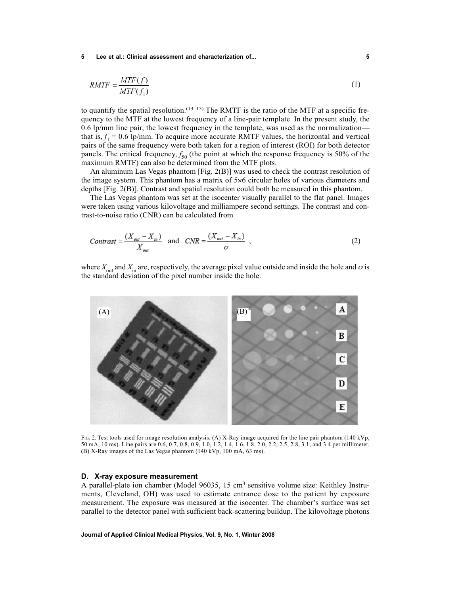$$
RMTF = \frac{MTF(f)}{MTF(f_1)}
$$
\n<sup>(1)</sup>

to quantify the spatial resolution.<sup> $(13-15)$ </sup> The RMTF is the ratio of the MTF at a specific frequency to the MTF at the lowest frequency of a line-pair template. In the present study, the 0.6 lp/mm line pair, the lowest frequency in the template, was used as the normalization that is,  $f_1 = 0.6$  lp/mm. To acquire more accurate RMTF values, the horizontal and vertical pairs of the same frequency were both taken for a region of interest (ROI) for both detector panels. The critical frequency,  $f_{50}$  (the point at which the response frequency is 50% of the maximum RMTF) can also be determined from the MTF plots.

An aluminum Las Vegas phantom [Fig. 2(B)] was used to check the contrast resolution of the image system. This phantom has a matrix of 5×6 circular holes of various diameters and depths [Fig. 2(B)]. Contrast and spatial resolution could both be measured in this phantom.

The Las Vegas phantom was set at the isocenter visually parallel to the flat panel. Images were taken using various kilovoltage and milliampere second settings. The contrast and contrast-to-noise ratio (CNR) can be calculated from

$$
Contrast = \frac{(X_{out} - X_{in})}{X_{out}} \quad \text{and} \quad CNR = \frac{(X_{out} - X_{in})}{\sigma} \tag{2}
$$

where  $X_{\text{out}}$  and  $X_{\text{in}}$  are, respectively, the average pixel value outside and inside the hole and  $\sigma$  is the standard deviation of the pixel number inside the hole.



FIG. 2. Test tools used for image resolution analysis. (A) X-Ray image acquired for the line pair phantom (140 kVp, 50 mA, 10 ms). Line pairs are 0.6, 0.7, 0.8, 0.9, 1.0, 1.2, 1.4, 1.6, 1.8, 2.0, 2.2, 2.5, 2.8, 3.1, and 3.4 per millimeter. (B) X-Ray images of the Las Vegas phantom (140 kVp, 100 mA, 63 ms).

## **D. X-ray exposure measurement**

A parallel-plate ion chamber (Model 96035, 15  $cm<sup>3</sup>$  sensitive volume size: Keithley Instruments, Cleveland, OH) was used to estimate entrance dose to the patient by exposure measurement. The exposure was measured at the isocenter. The chamber's surface was set parallel to the detector panel with sufficient back-scattering buildup. The kilovoltage photons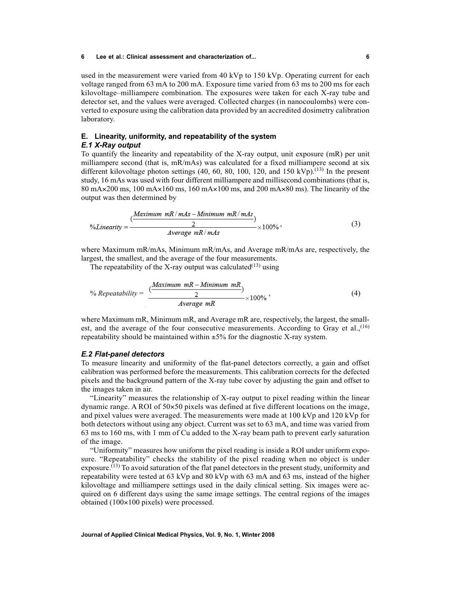used in the measurement were varied from 40 kVp to 150 kVp. Operating current for each voltage ranged from 63 mA to 200 mA. Exposure time varied from 63 ms to 200 ms for each kilovoltage–milliampere combination. The exposures were taken for each X-ray tube and detector set, and the values were averaged. Collected charges (in nanocoulombs) were converted to exposure using the calibration data provided by an accredited dosimetry calibration laboratory.

# **E. Linearity, uniformity, and repeatability of the system**

# *E.1 X-Ray output*

To quantify the linearity and repeatability of the X-ray output, unit exposure (mR) per unit milliampere second (that is, mR/mAs) was calculated for a fixed milliampere second at six different kilovoltage photon settings  $(40, 60, 80, 100, 120,$  and  $150 \text{ kVp})$ .<sup>(13)</sup> In the present study, 16 mAs was used with four different milliampere and millisecond combinations (that is, 80 mA×200 ms, 100 mA×160 ms, 160 mA×100 ms, and 200 mA×80 ms). The linearity of the output was then determined by

$$
\%Linearity = \frac{\left(\frac{Maximum \ mRs - Minimum \ mR/mAs}{2}\right)}{\text{Average } mR/mAs} \times 100\% \tag{3}
$$

where Maximum mR/mAs, Minimum mR/mAs, and Average mR/mAs are, respectively, the largest, the smallest, and the average of the four measurements.

The repeatability of the X-ray output was calculated<sup>(13)</sup> using

% Repeatability = 
$$
\frac{\frac{(Maximum mR - Minimum mR)}{2}}{Average mR} \times 100\%
$$
 (4)

where Maximum mR, Minimum mR, and Average mR are, respectively, the largest, the smallest, and the average of the four consecutive measurements. According to Gray et al.,<sup>(16)</sup> repeatability should be maintained within  $\pm 5\%$  for the diagnostic X-ray system.

# *E.2 Flat-panel detectors*

To measure linearity and uniformity of the flat-panel detectors correctly, a gain and offset calibration was performed before the measurements. This calibration corrects for the defected pixels and the background pattern of the X-ray tube cover by adjusting the gain and offset to the images taken in air.

"Linearity" measures the relationship of X-ray output to pixel reading within the linear dynamic range. A ROI of 50×50 pixels was defined at five different locations on the image, and pixel values were averaged. The measurements were made at 100 kVp and 120 kVp for both detectors without using any object. Current was set to 63 mA, and time was varied from 63 ms to 160 ms, with 1 mm of Cu added to the X-ray beam path to prevent early saturation of the image.

"Uniformity" measures how uniform the pixel reading is inside a ROI under uniform exposure. "Repeatability" checks the stability of the pixel reading when no object is under exposure.<sup> $(13)$ </sup> To avoid saturation of the flat panel detectors in the present study, uniformity and repeatability were tested at 63 kVp and 80 kVp with 63 mA and 63 ms, instead of the higher kilovoltage and milliampere settings used in the daily clinical setting. Six images were acquired on 6 different days using the same image settings. The central regions of the images obtained (100×100 pixels) were processed.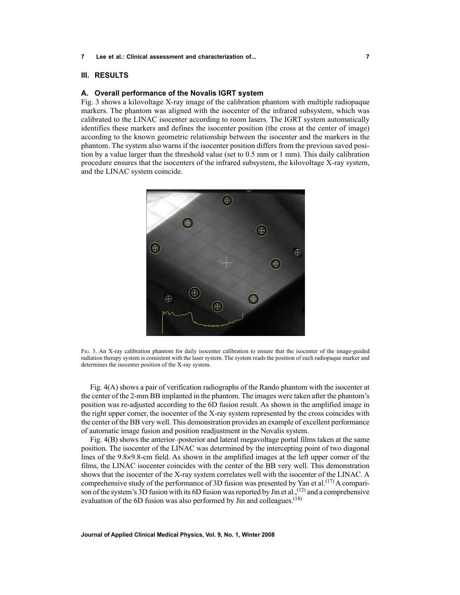# **III. RESULTS**

## **A. Overall performance of the Novalis IGRT system**

Fig. 3 shows a kilovoltage X-ray image of the calibration phantom with multiple radiopaque markers. The phantom was aligned with the isocenter of the infrared subsystem, which was calibrated to the LINAC isocenter according to room lasers. The IGRT system automatically identifies these markers and defines the isocenter position (the cross at the center of image) according to the known geometric relationship between the isocenter and the markers in the phantom. The system also warns if the isocenter position differs from the previous saved position by a value larger than the threshold value (set to 0.5 mm or 1 mm). This daily calibration procedure ensures that the isocenters of the infrared subsystem, the kilovoltage X-ray system, and the LINAC system coincide.



FIG. 3. An X-ray calibration phantom for daily isocenter calibration to ensure that the isocenter of the image-guided radiation therapy system is consistent with the laser system. The system reads the position of each radiopaque marker and determines the isocenter position of the X-ray system.

Fig. 4(A) shows a pair of verification radiographs of the Rando phantom with the isocenter at the center of the 2-mm BB implanted in the phantom. The images were taken after the phantom's position was re-adjusted according to the 6D fusion result. As shown in the amplified image in the right upper corner, the isocenter of the X-ray system represented by the cross coincides with the center of the BB very well. This demonstration provides an example of excellent performance of automatic image fusion and position readjustment in the Novalis system.

Fig. 4(B) shows the anterior–posterior and lateral megavoltage portal films taken at the same position. The isocenter of the LINAC was determined by the intercepting point of two diagonal lines of the 9.8×9.8-cm field. As shown in the amplified images at the left upper corner of the films, the LINAC isocenter coincides with the center of the BB very well. This demonstration shows that the isocenter of the X-ray system correlates well with the isocenter of the LINAC. A comprehensive study of the performance of 3D fusion was presented by Yan et al.<sup>(17)</sup> A comparison of the system's 3D fusion with its 6D fusion was reported by Jin et al.,<sup>(12)</sup> and a comprehensive evaluation of the 6D fusion was also performed by Jin and colleagues.<sup>(18)</sup>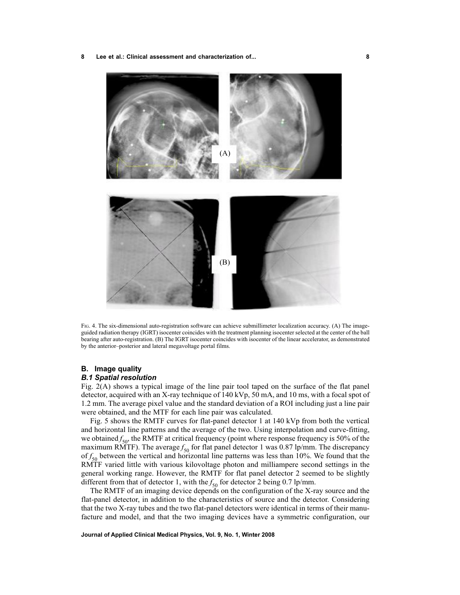

FIG. 4. The six-dimensional auto-registration software can achieve submillimeter localization accuracy. (A) The imageguided radiation therapy (IGRT) isocenter coincides with the treatment planning isocenter selected at the center of the ball bearing after auto-registration. (B) The IGRT isocenter coincides with isocenter of the linear accelerator, as demonstrated by the anterior–posterior and lateral megavoltage portal films.

# **B. Image quality** *B.1 Spatial resolution*

Fig. 2(A) shows a typical image of the line pair tool taped on the surface of the flat panel detector, acquired with an X-ray technique of 140 kVp, 50 mA, and 10 ms, with a focal spot of 1.2 mm. The average pixel value and the standard deviation of a ROI including just a line pair were obtained, and the MTF for each line pair was calculated.

Fig. 5 shows the RMTF curves for flat-panel detector 1 at 140 kVp from both the vertical and horizontal line patterns and the average of the two. Using interpolation and curve-fitting, we obtained  $f_{50}$ , the RMTF at critical frequency (point where response frequency is 50% of the maximum RMTF). The average  $f_{50}$  for flat panel detector 1 was 0.87 lp/mm. The discrepancy of  $f_{50}$  between the vertical and horizontal line patterns was less than 10%. We found that the RMTF varied little with various kilovoltage photon and milliampere second settings in the general working range. However, the RMTF for flat panel detector 2 seemed to be slightly different from that of detector 1, with the  $f_{50}$  for detector 2 being 0.7 lp/mm.

The RMTF of an imaging device depends on the configuration of the X-ray source and the flat-panel detector, in addition to the characteristics of source and the detector. Considering that the two X-ray tubes and the two flat-panel detectors were identical in terms of their manufacture and model, and that the two imaging devices have a symmetric configuration, our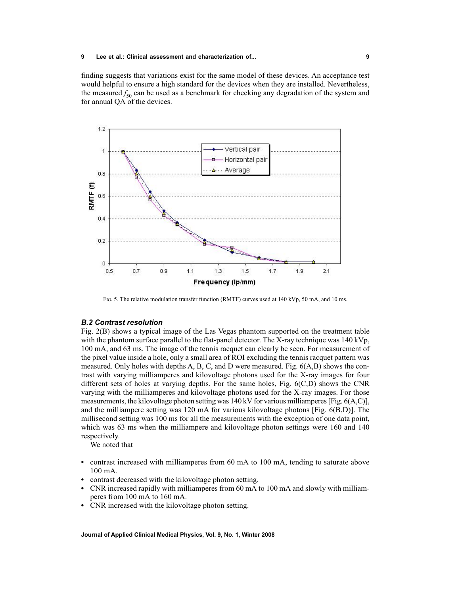finding suggests that variations exist for the same model of these devices. An acceptance test would helpful to ensure a high standard for the devices when they are installed. Nevertheless, the measured  $f_{50}$  can be used as a benchmark for checking any degradation of the system and for annual QA of the devices.



FIG. 5. The relative modulation transfer function (RMTF) curves used at 140 kVp, 50 mA, and 10 ms.

# *B.2 Contrast resolution*

Fig. 2(B) shows a typical image of the Las Vegas phantom supported on the treatment table with the phantom surface parallel to the flat-panel detector. The X-ray technique was 140 kVp, 100 mA, and 63 ms. The image of the tennis racquet can clearly be seen. For measurement of the pixel value inside a hole, only a small area of ROI excluding the tennis racquet pattern was measured. Only holes with depths A, B, C, and D were measured. Fig. 6(A,B) shows the contrast with varying milliamperes and kilovoltage photons used for the X-ray images for four different sets of holes at varying depths. For the same holes, Fig. 6(C,D) shows the CNR varying with the milliamperes and kilovoltage photons used for the X-ray images. For those measurements, the kilovoltage photon setting was 140 kV for various milliamperes [Fig. 6(A,C)], and the milliampere setting was 120 mA for various kilovoltage photons [Fig. 6(B,D)]. The millisecond setting was 100 ms for all the measurements with the exception of one data point, which was 63 ms when the milliampere and kilovoltage photon settings were 160 and 140 respectively.

We noted that

- contrast increased with milliamperes from 60 mA to 100 mA, tending to saturate above 100 mA.
- contrast decreased with the kilovoltage photon setting.
- CNR increased rapidly with milliamperes from 60 mA to 100 mA and slowly with milliamperes from 100 mA to 160 mA.
- CNR increased with the kilovoltage photon setting.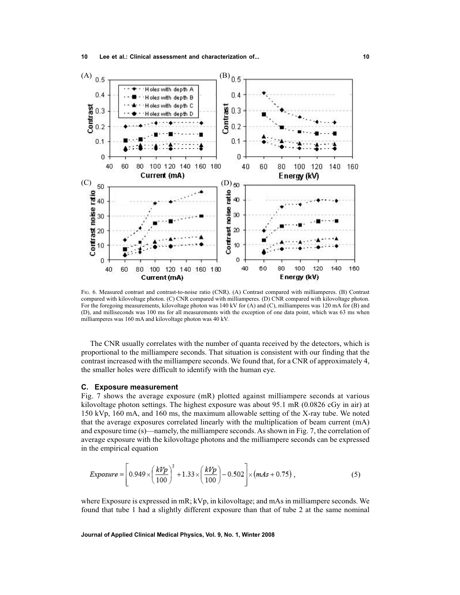

FIG. 6. Measured contrast and contrast-to-noise ratio (CNR). (A) Contrast compared with milliamperes. (B) Contrast compared with kilovoltage photon. (C) CNR compared with milliamperes. (D) CNR compared with kilovoltage photon. For the foregoing measurements, kilovoltage photon was 140 kV for (A) and (C), milliamperes was 120 mA for (B) and (D), and milliseconds was 100 ms for all measurements with the exception of one data point, which was 63 ms when milliamperes was 160 mA and kilovoltage photon was 40 kV.

The CNR usually correlates with the number of quanta received by the detectors, which is proportional to the milliampere seconds. That situation is consistent with our finding that the contrast increased with the milliampere seconds. We found that, for a CNR of approximately 4, the smaller holes were difficult to identify with the human eye.

## **C. Exposure measurement**

Fig. 7 shows the average exposure (mR) plotted against milliampere seconds at various kilovoltage photon settings. The highest exposure was about 95.1 mR (0.0826 cGy in air) at 150 kVp, 160 mA, and 160 ms, the maximum allowable setting of the X-ray tube. We noted that the average exposures correlated linearly with the multiplication of beam current (mA) and exposure time (s)—namely, the milliampere seconds. As shown in Fig. 7, the correlation of average exposure with the kilovoltage photons and the milliampere seconds can be expressed in the empirical equation

$$
Exposure = \left[0.949 \times \left(\frac{kVp}{100}\right)^2 + 1.33 \times \left(\frac{kVp}{100}\right) - 0.502\right] \times (mAs + 0.75),\tag{5}
$$

where Exposure is expressed in mR; kVp, in kilovoltage; and mAs in milliampere seconds. We found that tube 1 had a slightly different exposure than that of tube 2 at the same nominal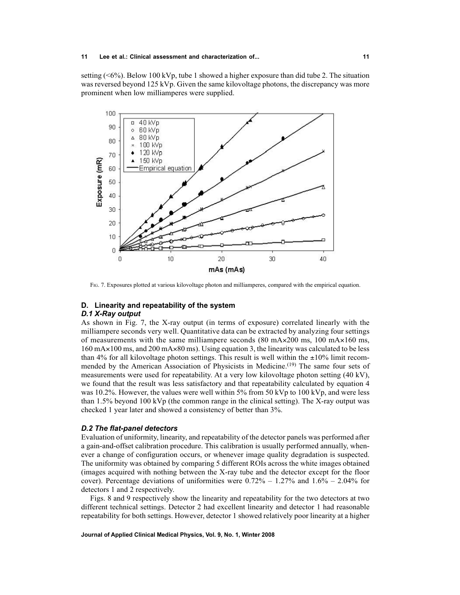setting  $( $6\%$ )$ . Below 100 kVp, tube 1 showed a higher exposure than did tube 2. The situation was reversed beyond 125 kVp. Given the same kilovoltage photons, the discrepancy was more prominent when low milliamperes were supplied.



FIG. 7. Exposures plotted at various kilovoltage photon and milliamperes, compared with the empirical equation.

# **D. Linearity and repeatability of the system**

# *D.1 X-Ray output*

As shown in Fig. 7, the X-ray output (in terms of exposure) correlated linearly with the milliampere seconds very well. Quantitative data can be extracted by analyzing four settings of measurements with the same milliampere seconds (80 mA $\times$ 200 ms, 100 mA $\times$ 160 ms, 160 mA×100 ms, and 200 mA×80 ms). Using equation 3, the linearity was calculated to be less than 4% for all kilovoltage photon settings. This result is well within the  $\pm 10\%$  limit recommended by the American Association of Physicists in Medicine.<sup>(19)</sup> The same four sets of measurements were used for repeatability. At a very low kilovoltage photon setting (40 kV), we found that the result was less satisfactory and that repeatability calculated by equation 4 was 10.2%. However, the values were well within  $5\%$  from 50 kVp to 100 kVp, and were less than 1.5% beyond 100 kVp (the common range in the clinical setting). The X-ray output was checked 1 year later and showed a consistency of better than 3%.

## *D.2 The flat-panel detectors*

Evaluation of uniformity, linearity, and repeatability of the detector panels was performed after a gain-and-offset calibration procedure. This calibration is usually performed annually, whenever a change of configuration occurs, or whenever image quality degradation is suspected. The uniformity was obtained by comparing 5 different ROIs across the white images obtained (images acquired with nothing between the X-ray tube and the detector except for the floor cover). Percentage deviations of uniformities were  $0.72\% - 1.27\%$  and  $1.6\% - 2.04\%$  for detectors 1 and 2 respectively.

Figs. 8 and 9 respectively show the linearity and repeatability for the two detectors at two different technical settings. Detector 2 had excellent linearity and detector 1 had reasonable repeatability for both settings. However, detector 1 showed relatively poor linearity at a higher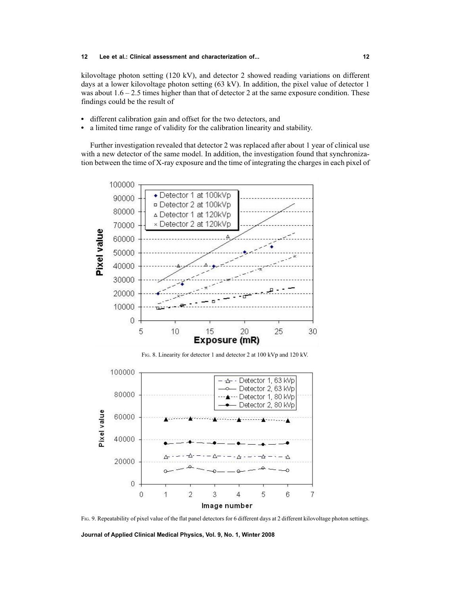kilovoltage photon setting (120 kV), and detector 2 showed reading variations on different days at a lower kilovoltage photon setting (63 kV). In addition, the pixel value of detector 1 was about  $1.6 - 2.5$  times higher than that of detector 2 at the same exposure condition. These findings could be the result of

- different calibration gain and offset for the two detectors, and
- a limited time range of validity for the calibration linearity and stability.

Further investigation revealed that detector 2 was replaced after about 1 year of clinical use with a new detector of the same model. In addition, the investigation found that synchronization between the time of X-ray exposure and the time of integrating the charges in each pixel of



FIG. 8. Linearity for detector 1 and detector 2 at 100 kVp and 120 kV.



FIG. 9. Repeatability of pixel value of the flat panel detectors for 6 different days at 2 different kilovoltage photon settings.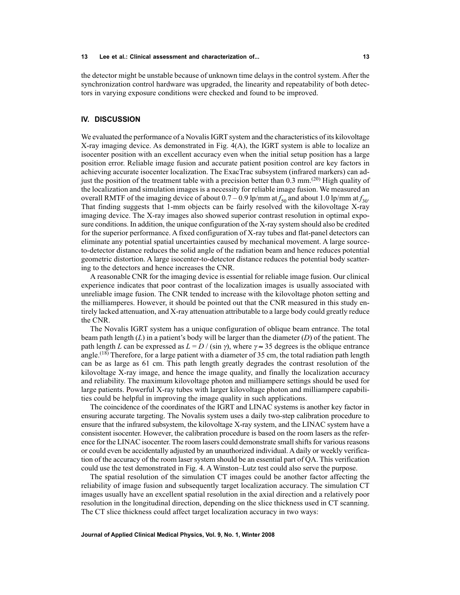the detector might be unstable because of unknown time delays in the control system. After the synchronization control hardware was upgraded, the linearity and repeatability of both detectors in varying exposure conditions were checked and found to be improved.

# **IV. DISCUSSION**

We evaluated the performance of a Novalis IGRT system and the characteristics of its kilovoltage X-ray imaging device. As demonstrated in Fig. 4(A), the IGRT system is able to localize an isocenter position with an excellent accuracy even when the initial setup position has a large position error. Reliable image fusion and accurate patient position control are key factors in achieving accurate isocenter localization. The ExacTrac subsystem (infrared markers) can adjust the position of the treatment table with a precision better than 0.3 mm.<sup>(20)</sup> High quality of the localization and simulation images is a necessity for reliable image fusion. We measured an overall RMTF of the imaging device of about  $0.7 - 0.9$  lp/mm at  $f_{50}$  and about 1.0 lp/mm at  $f_{30}$ . That finding suggests that 1-mm objects can be fairly resolved with the kilovoltage X-ray imaging device. The X-ray images also showed superior contrast resolution in optimal exposure conditions. In addition, the unique configuration of the X-ray system should also be credited for the superior performance. A fixed configuration of X-ray tubes and flat-panel detectors can eliminate any potential spatial uncertainties caused by mechanical movement. A large sourceto-detector distance reduces the solid angle of the radiation beam and hence reduces potential geometric distortion. A large isocenter-to-detector distance reduces the potential body scattering to the detectors and hence increases the CNR.

A reasonable CNR for the imaging device is essential for reliable image fusion. Our clinical experience indicates that poor contrast of the localization images is usually associated with unreliable image fusion. The CNR tended to increase with the kilovoltage photon setting and the milliamperes. However, it should be pointed out that the CNR measured in this study entirely lacked attenuation, and X-ray attenuation attributable to a large body could greatly reduce the CNR.

The Novalis IGRT system has a unique configuration of oblique beam entrance. The total beam path length  $(L)$  in a patient's body will be larger than the diameter  $(D)$  of the patient. The path length *L* can be expressed as  $L = D / (\sin \gamma)$ , where  $\gamma \approx 35$  degrees is the oblique entrance angle.<sup>(18)</sup> Therefore, for a large patient with a diameter of 35 cm, the total radiation path length can be as large as 61 cm. This path length greatly degrades the contrast resolution of the kilovoltage X-ray image, and hence the image quality, and finally the localization accuracy and reliability. The maximum kilovoltage photon and milliampere settings should be used for large patients. Powerful X-ray tubes with larger kilovoltage photon and milliampere capabilities could be helpful in improving the image quality in such applications.

The coincidence of the coordinates of the IGRT and LINAC systems is another key factor in ensuring accurate targeting. The Novalis system uses a daily two-step calibration procedure to ensure that the infrared subsystem, the kilovoltage X-ray system, and the LINAC system have a consistent isocenter. However, the calibration procedure is based on the room lasers as the reference for the LINAC isocenter. The room lasers could demonstrate small shifts for various reasons or could even be accidentally adjusted by an unauthorized individual. A daily or weekly verification of the accuracy of the room laser system should be an essential part of QA. This verification could use the test demonstrated in Fig. 4. A Winston–Lutz test could also serve the purpose.

The spatial resolution of the simulation CT images could be another factor affecting the reliability of image fusion and subsequently target localization accuracy. The simulation CT images usually have an excellent spatial resolution in the axial direction and a relatively poor resolution in the longitudinal direction, depending on the slice thickness used in CT scanning. The CT slice thickness could affect target localization accuracy in two ways: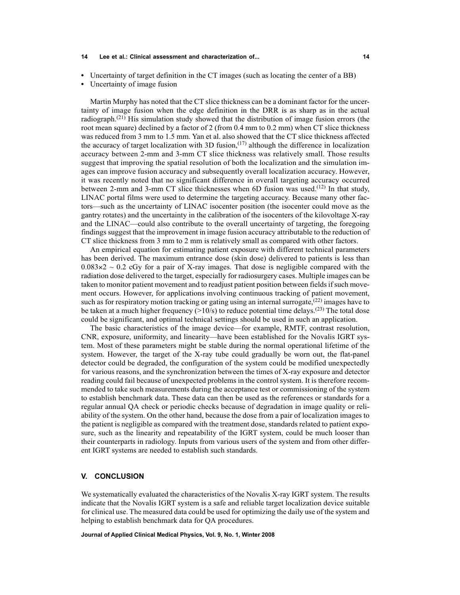- Uncertainty of target definition in the CT images (such as locating the center of a BB)
- Uncertainty of image fusion

Martin Murphy has noted that the CT slice thickness can be a dominant factor for the uncertainty of image fusion when the edge definition in the DRR is as sharp as in the actual radiograph.<sup> $(21)$ </sup> His simulation study showed that the distribution of image fusion errors (the root mean square) declined by a factor of 2 (from 0.4 mm to 0.2 mm) when CT slice thickness was reduced from 3 mm to 1.5 mm. Yan et al. also showed that the CT slice thickness affected the accuracy of target localization with 3D fusion, $(17)$  although the difference in localization accuracy between 2-mm and 3-mm CT slice thickness was relatively small. Those results suggest that improving the spatial resolution of both the localization and the simulation images can improve fusion accuracy and subsequently overall localization accuracy. However, it was recently noted that no significant difference in overall targeting accuracy occurred between 2-mm and 3-mm CT slice thicknesses when 6D fusion was used.<sup>(12)</sup> In that study, LINAC portal films were used to determine the targeting accuracy. Because many other factors—such as the uncertainty of LINAC isocenter position (the isocenter could move as the gantry rotates) and the uncertainty in the calibration of the isocenters of the kilovoltage X-ray and the LINAC—could also contribute to the overall uncertainty of targeting, the foregoing findings suggest that the improvement in image fusion accuracy attributable to the reduction of CT slice thickness from 3 mm to 2 mm is relatively small as compared with other factors.

An empirical equation for estimating patient exposure with different technical parameters has been derived. The maximum entrance dose (skin dose) delivered to patients is less than  $0.083\times2 \sim 0.2$  cGy for a pair of X-ray images. That dose is negligible compared with the radiation dose delivered to the target, especially for radiosurgery cases. Multiple images can be taken to monitor patient movement and to readjust patient position between fields if such movement occurs. However, for applications involving continuous tracking of patient movement, such as for respiratory motion tracking or gating using an internal surrogate,<sup>(22)</sup> images have to be taken at a much higher frequency (>10/s) to reduce potential time delays.<sup>(23)</sup> The total dose could be significant, and optimal technical settings should be used in such an application.

The basic characteristics of the image device—for example, RMTF, contrast resolution, CNR, exposure, uniformity, and linearity—have been established for the Novalis IGRT system. Most of these parameters might be stable during the normal operational lifetime of the system. However, the target of the X-ray tube could gradually be worn out, the flat-panel detector could be degraded, the configuration of the system could be modified unexpectedly for various reasons, and the synchronization between the times of X-ray exposure and detector reading could fail because of unexpected problems in the control system. It is therefore recommended to take such measurements during the acceptance test or commissioning of the system to establish benchmark data. These data can then be used as the references or standards for a regular annual QA check or periodic checks because of degradation in image quality or reliability of the system. On the other hand, because the dose from a pair of localization images to the patient is negligible as compared with the treatment dose, standards related to patient exposure, such as the linearity and repeatability of the IGRT system, could be much looser than their counterparts in radiology. Inputs from various users of the system and from other different IGRT systems are needed to establish such standards.

# **V. CONCLUSION**

We systematically evaluated the characteristics of the Novalis X-ray IGRT system. The results indicate that the Novalis IGRT system is a safe and reliable target localization device suitable for clinical use. The measured data could be used for optimizing the daily use of the system and helping to establish benchmark data for QA procedures.